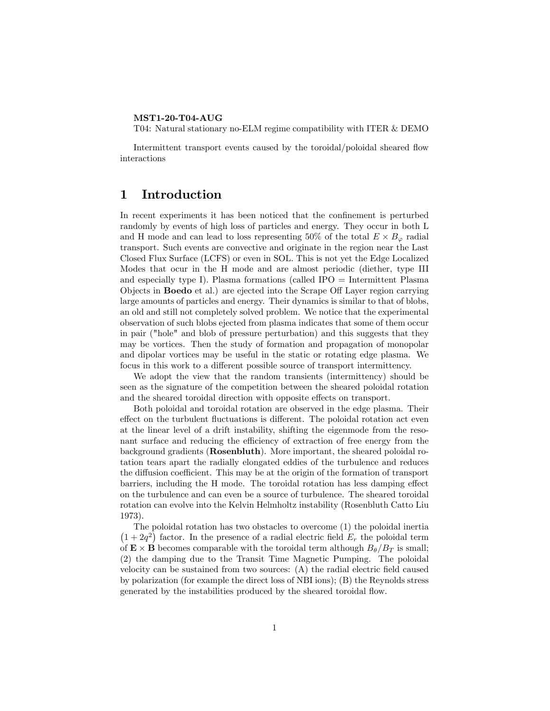#### MST1-20-T04-AUG

T04: Natural stationary no-ELM regime compatibility with ITER & DEMO

Intermittent transport events caused by the toroidal/poloidal sheared flow interactions

### 1 Introduction

In recent experiments it has been noticed that the confinement is perturbed randomly by events of high loss of particles and energy. They occur in both L and H mode and can lead to loss representing 50% of the total  $E \times B_{\varphi}$  radial transport. Such events are convective and originate in the region near the Last Closed Flux Surface (LCFS) or even in SOL. This is not yet the Edge Localized Modes that ocur in the H mode and are almost periodic (diether, type III and especially type I). Plasma formations (called IPO = Intermittent Plasma Objects in **Boedo** et al.) are ejected into the Scrape Off Layer region carrying large amounts of particles and energy. Their dynamics is similar to that of blobs, an old and still not completely solved problem. We notice that the experimental observation of such blobs ejected from plasma indicates that some of them occur in pair ("hole" and blob of pressure perturbation) and this suggests that they may be vortices. Then the study of formation and propagation of monopolar and dipolar vortices may be useful in the static or rotating edge plasma. We focus in this work to a different possible source of transport intermittency.

We adopt the view that the random transients (intermittency) should be seen as the signature of the competition between the sheared poloidal rotation and the sheared toroidal direction with opposite effects on transport.

Both poloidal and toroidal rotation are observed in the edge plasma. Their effect on the turbulent fluctuations is different. The poloidal rotation act even at the linear level of a drift instability, shifting the eigenmode from the resonant surface and reducing the efficiency of extraction of free energy from the background gradients (Rosenbluth). More important, the sheared poloidal rotation tears apart the radially elongated eddies of the turbulence and reduces the diffusion coefficient. This may be at the origin of the formation of transport barriers, including the H mode. The toroidal rotation has less damping effect on the turbulence and can even be a source of turbulence. The sheared toroidal rotation can evolve into the Kelvin Helmholtz instability (Rosenbluth Catto Liu 1973).

The poloidal rotation has two obstacles to overcome (1) the poloidal inertia  $(1 + 2q^2)$  factor. In the presence of a radial electric field  $E_r$  the poloidal term of  $\mathbf{E} \times \mathbf{B}$  becomes comparable with the toroidal term although  $B_{\theta}/B_T$  is small; (2) the damping due to the Transit Time Magnetic Pumping. The poloidal velocity can be sustained from two sources:  $(A)$  the radial electric field caused by polarization (for example the direct loss of NBI ions); (B) the Reynolds stress generated by the instabilities produced by the sheared toroidal áow.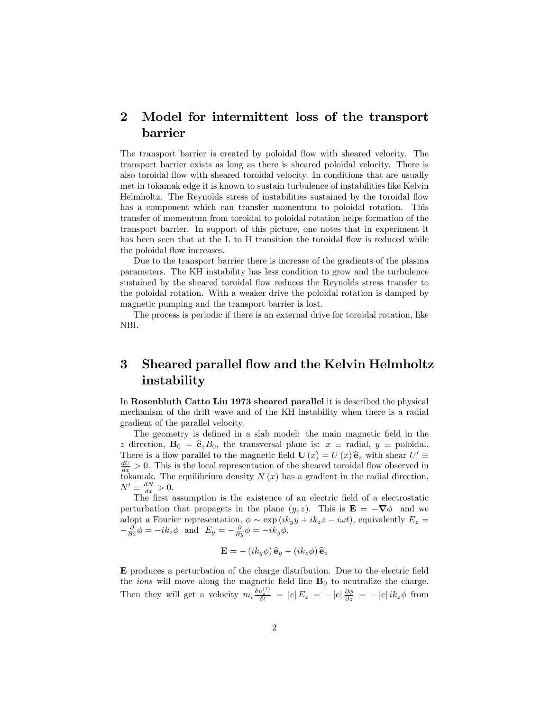## 2 Model for intermittent loss of the transport barrier

The transport barrier is created by poloidal flow with sheared velocity. The transport barrier exists as long as there is sheared poloidal velocity. There is also toroidal áow with sheared toroidal velocity. In conditions that are usually met in tokamak edge it is known to sustain turbulence of instabilities like Kelvin Helmholtz. The Reynolds stress of instabilities sustained by the toroidal áow has a component which can transfer momentum to poloidal rotation. This transfer of momentum from toroidal to poloidal rotation helps formation of the transport barrier. In support of this picture, one notes that in experiment it has been seen that at the L to H transition the toroidal flow is reduced while the poloidal flow increases.

Due to the transport barrier there is increase of the gradients of the plasma parameters. The KH instability has less condition to grow and the turbulence sustained by the sheared toroidal flow reduces the Reynolds stress transfer to the poloidal rotation. With a weaker drive the poloidal rotation is damped by magnetic pumping and the transport barrier is lost.

The process is periodic if there is an external drive for toroidal rotation, like NBI.

# 3 Sheared parallel flow and the Kelvin Helmholtz instability

In Rosenbluth Catto Liu 1973 sheared parallel it is described the physical mechanism of the drift wave and of the KH instability when there is a radial gradient of the parallel velocity.

The geometry is defined in a slab model: the main magnetic field in the z direction,  $\mathbf{B}_0 = \hat{\mathbf{e}}_z B_0$ , the transversal plane is:  $x \equiv$  radial,  $y \equiv$  poloidal. There is a flow parallel to the magnetic field  $\mathbf{U}(x) = U(x) \hat{\mathbf{e}}_z$  with shear  $U' \equiv dU > 0$ . This is the last presentation of the phase of the initial flow channel in  $\frac{dU}{dx} > 0$ . This is the local representation of the sheared toroidal flow observed in tokamak. The equilibrium density  $N(x)$  has a gradient in the radial direction,  $N' \equiv \frac{dN}{dx} > 0.$ 

The first assumption is the existence of an electric field of a electrostatic perturbation that propagets in the plane  $(y, z)$ . This is  $\mathbf{E} = -\nabla \phi$  and we adopt a Fourier representation,  $\phi \sim \exp(ik_y y + ik_z z - i\omega t)$ , equivalently  $E_z =$  $-\frac{\partial}{\partial z}\phi = -ik_z\phi$  and  $E_y = -\frac{\partial}{\partial y}\phi = -ik_y\phi$ ,

$$
\mathbf{E} = - (ik_y \phi) \,\hat{\mathbf{e}}_y - (ik_z \phi) \,\hat{\mathbf{e}}_z
$$

E produces a perturbation of the charge distribution. Due to the electric Öeld the *ions* will move along the magnetic field line  $B_0$  to neutralize the charge. Then they will get a velocity  $m_i \frac{\delta u_z^{(1)}}{\delta t} = |e| E_z = -|e| \frac{\partial \phi}{\partial z} = -|e| i k_z \phi$  from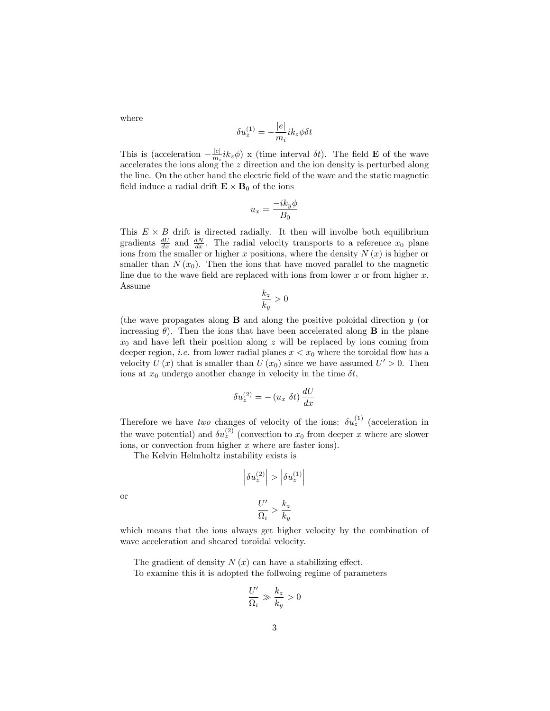where

$$
\delta u_z^{(1)} = -\frac{|e|}{m_i} i k_z \phi \delta t
$$

This is (acceleration  $-\frac{|e|}{m_i}ik_z\phi$ ) x (time interval  $\delta t$ ). The field **E** of the wave accelerates the ions along the z direction and the ion density is perturbed along the line. On the other hand the electric field of the wave and the static magnetic field induce a radial drift  $\mathbf{E} \times \mathbf{B}_0$  of the ions

$$
u_x = \frac{-ik_y\phi}{B_0}
$$

This  $E \times B$  drift is directed radially. It then will involbe both equilibrium gradients  $\frac{dU}{dx}$  and  $\frac{dN}{dx}$ . The radial velocity transports to a reference  $x_0$  plane ions from the smaller or higher x positions, where the density  $N(x)$  is higher or smaller than  $N(x_0)$ . Then the ions that have moved parallel to the magnetic line due to the wave field are replaced with ions from lower  $x$  or from higher  $x$ . Assume

$$
\frac{k_z}{k_y} > 0
$$

(the wave propagates along B and along the positive poloidal direction y (or increasing  $\theta$ ). Then the ions that have been accelerated along **B** in the plane  $x_0$  and have left their position along z will be replaced by ions coming from deeper region, *i.e.* from lower radial planes  $x < x_0$  where the toroidal flow has a velocity  $U(x)$  that is smaller than  $U(x_0)$  since we have assumed  $U' > 0$ . Then ions at  $x_0$  undergo another change in velocity in the time  $\delta t$ ,

$$
\delta u_z^{(2)} = - (u_x \ \delta t) \, \frac{dU}{dx}
$$

Therefore we have two changes of velocity of the ions:  $\delta u_z^{(1)}$  (acceleration in the wave potential) and  $\delta u_z^{(2)}$  (convection to  $x_0$  from deeper x where are slower ions, or convection from higher  $x$  where are faster ions).

The Kelvin Helmholtz instability exists is

$$
\left| \delta u_z^{(2)} \right| > \left| \delta u_z^{(1)} \right|
$$
  

$$
U' \quad k_z
$$

or

$$
\frac{U'}{\Omega_i} > \frac{k_z}{k_y}
$$

which means that the ions always get higher velocity by the combination of wave acceleration and sheared toroidal velocity.

The gradient of density  $N(x)$  can have a stabilizing effect. To examine this it is adopted the follwoing regime of parameters

$$
\frac{U'}{\Omega_i} \gg \frac{k_z}{k_y} > 0
$$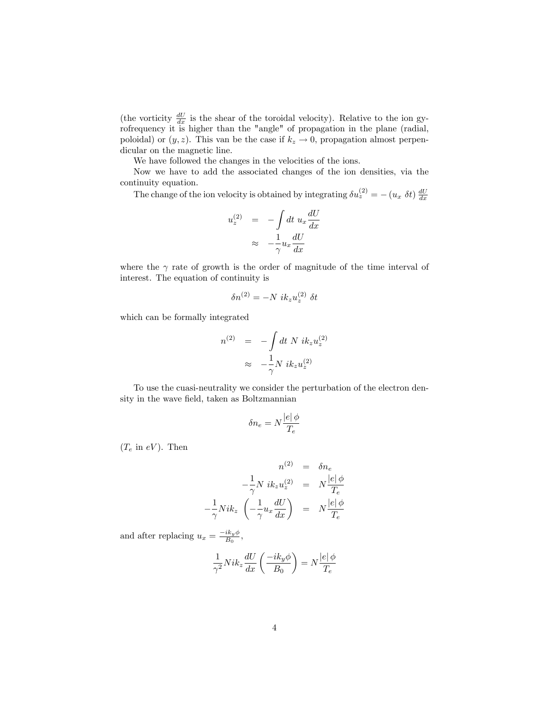(the vorticity  $\frac{dU}{dx}$  is the shear of the toroidal velocity). Relative to the ion gyrofrequency it is higher than the "angle" of propagation in the plane (radial, poloidal) or  $(y, z)$ . This van be the case if  $k_z \to 0$ , propagation almost perpendicular on the magnetic line.

We have followed the changes in the velocities of the ions.

Now we have to add the associated changes of the ion densities, via the continuity equation.

The change of the ion velocity is obtained by integrating  $\delta u_z^{(2)} = - (u_x \delta t) \frac{dU}{dx}$ 

$$
u_z^{(2)} = -\int dt \, u_x \frac{dU}{dx}
$$

$$
\approx -\frac{1}{\gamma} u_x \frac{dU}{dx}
$$

where the  $\gamma$  rate of growth is the order of magnitude of the time interval of interest. The equation of continuity is

$$
\delta n^{(2)} = -N i k_z u_z^{(2)} \delta t
$$

which can be formally integrated

$$
n^{(2)} = -\int dt \ N \ i k_z u_z^{(2)}
$$
  

$$
\approx -\frac{1}{\gamma} N \ i k_z u_z^{(2)}
$$

To use the cuasi-neutrality we consider the perturbation of the electron density in the wave field, taken as Boltzmannian

$$
\delta n_e = N \frac{|e| \phi}{T_e}
$$

 $(T_e$  in  $eV)$ . Then

$$
n^{(2)} = \delta n_e
$$
  

$$
-\frac{1}{\gamma} N i k_z u_z^{(2)} = N \frac{|e| \phi}{T_e}
$$
  

$$
-\frac{1}{\gamma} N i k_z \left(-\frac{1}{\gamma} u_x \frac{dU}{dx}\right) = N \frac{|e| \phi}{T_e}
$$

and after replacing  $u_x = \frac{-ik_y\phi}{B_0}$ ,

$$
\frac{1}{\gamma^2} Nik_z \frac{dU}{dx}\left(\frac{-ik_y\phi}{B_0}\right) = N\frac{|e|\,\phi}{T_e}
$$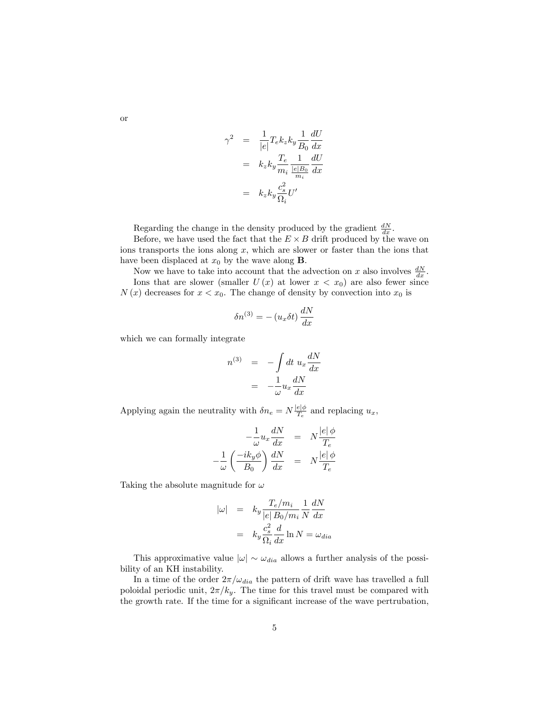$$
\gamma^2 = \frac{1}{|e|} T_e k_z k_y \frac{1}{B_0} \frac{dU}{dx}
$$

$$
= k_z k_y \frac{T_e}{m_i} \frac{1}{\frac{|e|B_0}{m_i}} \frac{dU}{dx}
$$

$$
= k_z k_y \frac{c_s^2}{\Omega_i} U'
$$

Regarding the change in the density produced by the gradient  $\frac{dN}{dx}$ .

Before, we have used the fact that the  $E \times B$  drift produced by the wave on ions transports the ions along  $x$ , which are slower or faster than the ions that have been displaced at  $x_0$  by the wave along **B**.

Now we have to take into account that the advection on x also involves  $\frac{dN}{dx}$ . Ions that are slower (smaller  $U(x)$  at lower  $x < x_0$ ) are also fewer since  $N(x)$  decreases for  $x < x_0$ . The change of density by convection into  $x_0$  is

$$
\delta n^{(3)} = - (u_x \delta t) \frac{dN}{dx}
$$

which we can formally integrate

$$
n^{(3)} = -\int dt \, u_x \frac{dN}{dx}
$$

$$
= -\frac{1}{\omega} u_x \frac{dN}{dx}
$$

Applying again the neutrality with  $\delta n_e = N \frac{|e|\phi}{T_e}$  and replacing  $u_x$ ,

$$
-\frac{1}{\omega}u_x\frac{dN}{dx} = N\frac{|e|\phi}{T_e}
$$

$$
-\frac{1}{\omega}\left(\frac{-ik_y\phi}{B_0}\right)\frac{dN}{dx} = N\frac{|e|\phi}{T_e}
$$

Taking the absolute magnitude for  $\omega$ 

$$
\begin{array}{rcl} |\omega| & = & k_y \frac{T_e/m_i}{|e| \, B_0/m_i} \frac{1}{N} \frac{dN}{dx} \\ & = & k_y \frac{c_s^2}{\Omega_i} \frac{d}{dx} \ln N = \omega_{dia} \end{array}
$$

This approximative value  $|\omega| \sim \omega_{dia}$  allows a further analysis of the possibility of an KH instability.

In a time of the order  $2\pi/\omega_{dia}$  the pattern of drift wave has travelled a full poloidal periodic unit,  $2\pi/k_y$ . The time for this travel must be compared with the growth rate. If the time for a significant increase of the wave pertrubation,

or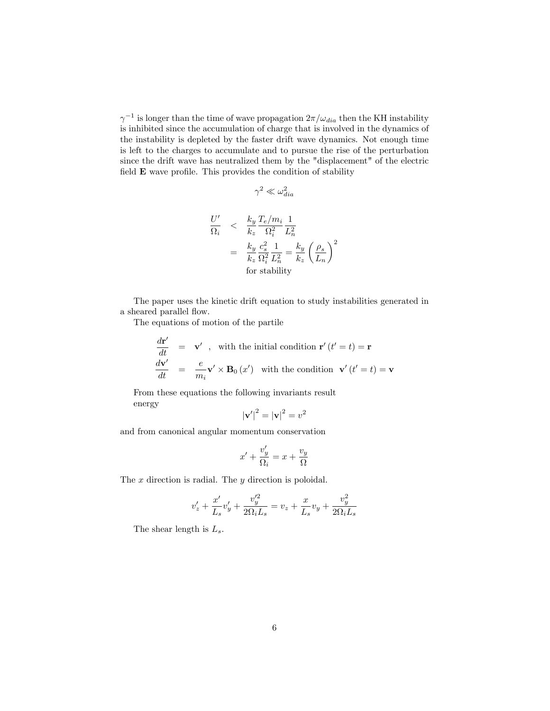$\gamma^{-1}$  is longer than the time of wave propagation  $2\pi/\omega_{dia}$  then the KH instability is inhibited since the accumulation of charge that is involved in the dynamics of the instability is depleted by the faster drift wave dynamics. Not enough time is left to the charges to accumulate and to pursue the rise of the perturbation since the drift wave has neutralized them by the "displacement" of the electric field  $E$  wave profile. This provides the condition of stability

$$
\gamma^2 \ll \omega_{dia}^2
$$

$$
\frac{U'}{\Omega_i} < \frac{k_y}{k_z} \frac{T_e/m_i}{\Omega_i^2} \frac{1}{L_n^2}
$$
\n
$$
= \frac{k_y}{k_z} \frac{c_s^2}{\Omega_i^2} \frac{1}{L_n^2} = \frac{k_y}{k_z} \left(\frac{\rho_s}{L_n}\right)^2
$$
\nfor stability

The paper uses the kinetic drift equation to study instabilities generated in a sheared parallel flow.

The equations of motion of the partile

$$
\begin{array}{rcl}\n\frac{d\mathbf{r}'}{dt} & = & \mathbf{v}' \ ,\quad \text{with the initial condition } \mathbf{r}' \left( t' = t \right) = \mathbf{r} \\
\frac{d\mathbf{v}'}{dt} & = & \frac{e}{m_i} \mathbf{v}' \times \mathbf{B}_0 \left( x' \right) \quad \text{with the condition } \mathbf{v}' \left( t' = t \right) = \mathbf{v}\n\end{array}
$$

From these equations the following invariants result energy

$$
|\mathbf{v}'|^2 = |\mathbf{v}|^2 = v^2
$$

and from canonical angular momentum conservation

$$
x' + \frac{v'_y}{\Omega_i} = x + \frac{v_y}{\Omega}
$$

The  $x$  direction is radial. The  $y$  direction is poloidal.

$$
v'_{z} + \frac{x'}{L_s}v'_{y} + \frac{v'^{2}_{y}}{2\Omega_i L_s} = v_z + \frac{x}{L_s}v_y + \frac{v^2_y}{2\Omega_i L_s}
$$

The shear length is  $L_s$ .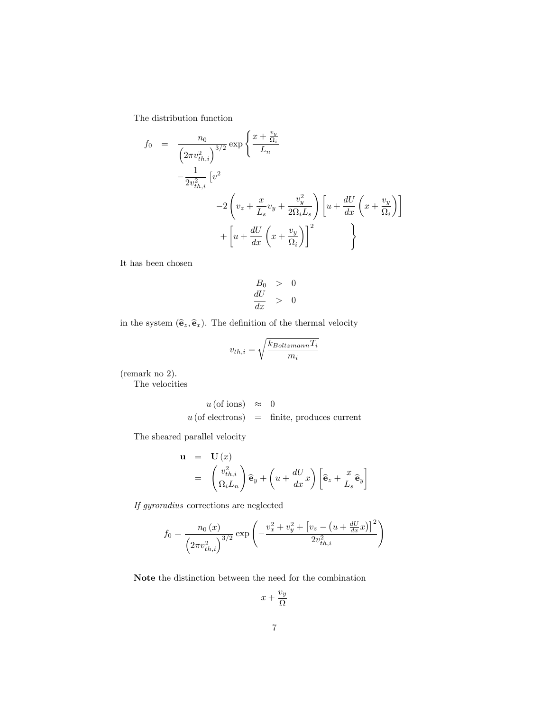The distribution function

$$
f_0 = \frac{n_0}{\left(2\pi v_{th,i}^2\right)^{3/2}} \exp\left\{\frac{x + \frac{v_y}{\Omega_i}}{L_n} - \frac{1}{2v_{th,i}^2} \left[v^2 - 2\left(v_z + \frac{x}{L_s}v_y + \frac{v_y^2}{2\Omega_i L_s}\right)\left[u + \frac{dU}{dx}\left(x + \frac{v_y}{\Omega_i}\right)\right] + \left[u + \frac{dU}{dx}\left(x + \frac{v_y}{\Omega_i}\right)\right]^2\right\}
$$

It has been chosen

$$
\begin{array}{rcl}\nB_0 > & 0 \\
\frac{dU}{dx} > & 0\n\end{array}
$$

in the system  $(\hat{\mathbf{e}}_z, \hat{\mathbf{e}}_x)$ . The definition of the thermal velocity<br> $v_{th\ i} = \sqrt{\frac{k_{Boltzmann}T_i}{k_{Boltzmann}T_i}}$ 

$$
v_{th,i} = \sqrt{\frac{k_{Boltzmann} T_i}{m_i}}
$$

(remark no 2).

The velocities

$$
u
$$
 (of ions)  $\approx 0$   
 $u$  (of electrons) = finite, produces current

The sheared parallel velocity

$$
\mathbf{u} = \mathbf{U}(x)
$$
  
=  $\left(\frac{v_{th,i}^2}{\Omega_i L_n}\right) \hat{\mathbf{e}}_y + \left(u + \frac{dU}{dx}x\right) \left[\hat{\mathbf{e}}_z + \frac{x}{L_s} \hat{\mathbf{e}}_y\right]$ 

If gyroradius corrections are neglected

$$
f_0 = \frac{n_0(x)}{\left(2\pi v_{th,i}^2\right)^{3/2}} \exp\left(-\frac{v_x^2 + v_y^2 + \left[v_z - \left(u + \frac{dU}{dx}x\right)\right]^2}{2v_{th,i}^2}\right)
$$

Note the distinction between the need for the combination

$$
x + \frac{v_y}{\Omega}
$$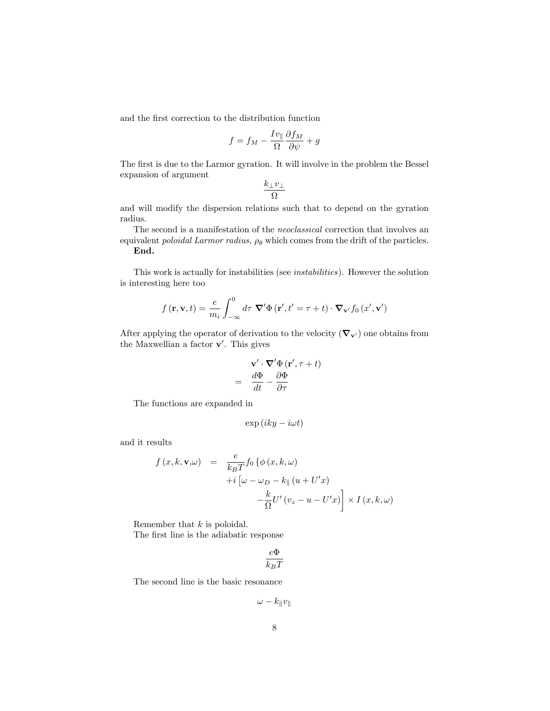and the first correction to the distribution function

$$
f = f_M - \frac{I v_{\parallel}}{\Omega} \frac{\partial f_M}{\partial \psi} + g
$$

The first is due to the Larmor gyration. It will involve in the problem the Bessel expansion of argument

$$
\frac{k_{\perp}v_{\perp}}{\Omega}
$$

and will modify the dispersion relations such that to depend on the gyration radius.

The second is a manifestation of the neoclassical correction that involves an equivalent *poloidal Larmor radius,*  $\rho_{\theta}$  which comes from the drift of the particles. End.

This work is actually for instabilities (see instabilities). However the solution is interesting here too

$$
f(\mathbf{r}, \mathbf{v}, t) = \frac{e}{m_i} \int_{-\infty}^{0} d\tau \; \mathbf{\nabla}' \Phi(\mathbf{r}', t' = \tau + t) \cdot \mathbf{\nabla}_{\mathbf{v}'} f_0(x', \mathbf{v}')
$$

After applying the operator of derivation to the velocity  $(\nabla_{\mathbf{v}'} )$  one obtains from the Maxwellian a factor  $\mathbf{v}'$ . This gives

$$
\mathbf{v}' \cdot \nabla' \Phi(\mathbf{r}', \tau + t)
$$

$$
= \frac{d\Phi}{dt} - \frac{\partial \Phi}{\partial \tau}
$$

=

The functions are expanded in

$$
\exp\left(iky-i\omega t\right)
$$

and it results

$$
f(x, k, \mathbf{v}, \omega) = \frac{e}{k_B T} f_0 \{ \phi(x, k, \omega) + i \left[ \omega - \omega_D - k_{\parallel} (u + U'x) \right. - \frac{k}{\Omega} U'(v_z - u - U'x) \times I(x, k, \omega)
$$

Remember that  $k$  is poloidal.

The first line is the adiabatic response

$$
\frac{e\Phi}{k_BT}
$$

The second line is the basic resonance

$$
\omega - k_{\parallel} v_{\parallel}
$$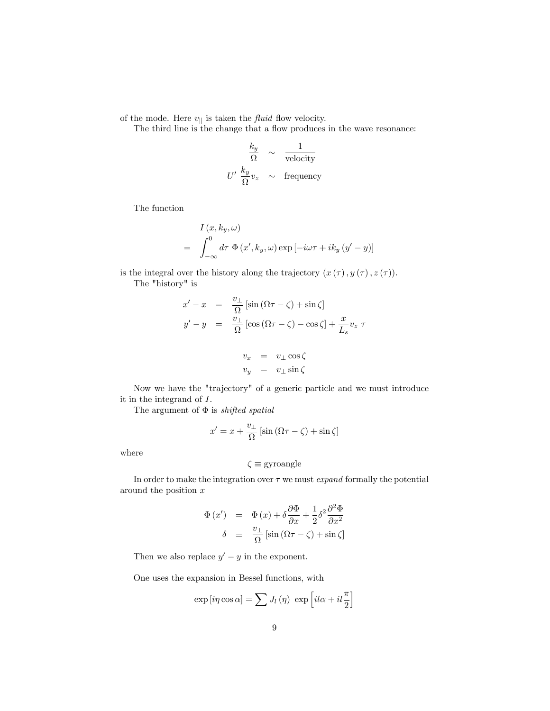of the mode. Here  $v_{\parallel}$  is taken the *fluid* flow velocity.

The third line is the change that a flow produces in the wave resonance:

$$
\frac{k_y}{\Omega} \sim \frac{1}{\text{velocity}}
$$
  

$$
U' \frac{k_y}{\Omega} v_z \sim \text{frequency}
$$

The function

$$
I(x, k_y, \omega)
$$
  
=  $\int_{-\infty}^{0} d\tau \Phi(x', k_y, \omega) \exp[-i\omega\tau + ik_y (y'-y)]$ 

is the integral over the history along the trajectory  $(x(\tau), y(\tau), z(\tau))$ .

The "history" is

$$
x' - x = \frac{v_{\perp}}{\Omega} [\sin (\Omega \tau - \zeta) + \sin \zeta]
$$
  

$$
y' - y = \frac{v_{\perp}}{\Omega} [\cos (\Omega \tau - \zeta) - \cos \zeta] + \frac{x}{L_s} v_z \tau
$$

$$
\begin{array}{rcl} v_x & = & v_\perp \cos \zeta \\ v_y & = & v_\perp \sin \zeta \end{array}
$$

Now we have the "trajectory" of a generic particle and we must introduce it in the integrand of I.

The argument of  $\Phi$  is *shifted spatial* 

$$
x' = x + \frac{v_{\perp}}{\Omega} \left[ \sin \left( \Omega \tau - \zeta \right) + \sin \zeta \right]
$$

where

$$
\zeta\equiv\text{gyroangle}
$$

In order to make the integration over  $\tau$  we must *expand* formally the potential around the position x

$$
\Phi(x') = \Phi(x) + \delta \frac{\partial \Phi}{\partial x} + \frac{1}{2} \delta^2 \frac{\partial^2 \Phi}{\partial x^2}
$$
  

$$
\delta \equiv \frac{v_{\perp}}{\Omega} [\sin (\Omega \tau - \zeta) + \sin \zeta]
$$

Then we also replace  $y' - y$  in the exponent.

One uses the expansion in Bessel functions, with

$$
\exp[i\eta\cos\alpha] = \sum J_l(\eta) \, \exp\left[il\alpha + il\frac{\pi}{2}\right]
$$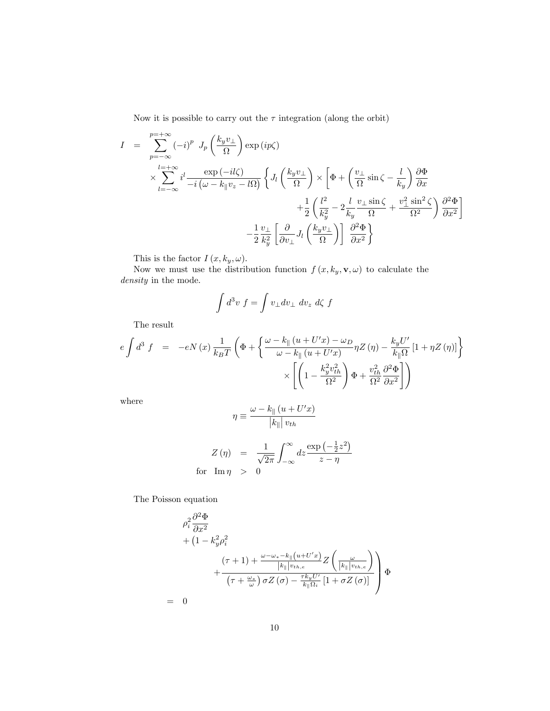Now it is possible to carry out the  $\tau$  integration (along the orbit)

$$
I = \sum_{p=-\infty}^{p=+\infty} (-i)^p J_p \left(\frac{k_y v_{\perp}}{\Omega}\right) \exp(i p \zeta)
$$
  
\n
$$
\times \sum_{l=-\infty}^{l=+\infty} i^l \frac{\exp(-il\zeta)}{-i(\omega - k_{\parallel} v_z - l\Omega)} \left\{ J_l \left(\frac{k_y v_{\perp}}{\Omega}\right) \times \left[\Phi + \left(\frac{v_{\perp}}{\Omega}\sin\zeta - \frac{l}{k_y}\right) \frac{\partial \Phi}{\partial x} + \frac{1}{2} \left(\frac{l^2}{k_y^2} - 2\frac{l}{k_y} \frac{v_{\perp} \sin\zeta}{\Omega} + \frac{v_{\perp}^2 \sin^2\zeta}{\Omega^2}\right) \frac{\partial^2 \Phi}{\partial x^2} \right\}
$$
  
\n
$$
- \frac{1}{2} \frac{v_{\perp}}{k_y^2} \left[\frac{\partial}{\partial v_{\perp}} J_l \left(\frac{k_y v_{\perp}}{\Omega}\right)\right] \frac{\partial^2 \Phi}{\partial x^2}
$$

This is the factor  $I(x, k_y, \omega)$ .

Now we must use the distribution function  $f(x, k_y, \mathbf{v}, \omega)$  to calculate the density in the mode.

$$
\int d^3v \ f = \int v_\perp dv_\perp \ dv_z \ d\zeta \ f
$$

The result

$$
e \int d^3 f = -eN(x) \frac{1}{k_B T} \left( \Phi + \left\{ \frac{\omega - k_{\parallel} (u + U'x) - \omega_D}{\omega - k_{\parallel} (u + U'x)} \eta Z(\eta) - \frac{k_y U'}{k_{\parallel} \Omega} [1 + \eta Z(\eta)] \right\} \times \left[ \left( 1 - \frac{k_y^2 v_{th}^2}{\Omega^2} \right) \Phi + \frac{v_{th}^2}{\Omega^2} \frac{\partial^2 \Phi}{\partial x^2} \right] \right)
$$

where

$$
\eta \equiv \frac{\omega - k_{\parallel} (u + U'x)}{|k_{\parallel}| v_{th}}
$$

$$
Z(\eta) = \frac{1}{\sqrt{2\pi}} \int_{-\infty}^{\infty} dz \frac{\exp\left(-\frac{1}{2}z^2\right)}{z - \eta}
$$
  
for  $\text{Im}\,\eta > 0$ 

The Poisson equation

$$
\rho_i^2 \frac{\partial^2 \Phi}{\partial x^2} \n+ (1 - k_y^2 \rho_i^2) \n+ \frac{(\tau + 1) + \frac{\omega - \omega_* - k_{\parallel}(u + U'x)}{|k_{\parallel}|v_{th,e}} Z\left(\frac{\omega}{|k_{\parallel}|v_{th,e}}\right)}{\left(\tau + \frac{\omega_*}{\omega}\right) \sigma Z\left(\sigma\right) - \frac{\tau k_y U'}{k_{\parallel}\Omega_i} \left[1 + \sigma Z\left(\sigma\right)\right]} \quad \Phi \n= 0
$$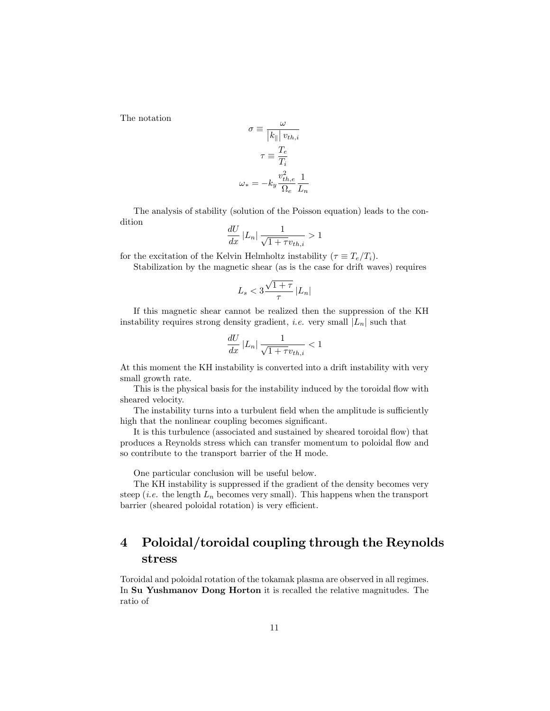The notation

$$
\sigma \equiv \frac{\omega}{|k_{\parallel}| v_{th,i}}
$$

$$
\tau \equiv \frac{T_e}{T_i}
$$

$$
\omega_* = -k_y \frac{v_{th,e}^2}{\Omega_e} \frac{1}{L_n}
$$

The analysis of stability (solution of the Poisson equation) leads to the condition

$$
\frac{dU}{dx}\left|L_n\right| \frac{1}{\sqrt{1+\tau}v_{th,i}} > 1
$$

for the excitation of the Kelvin Helmholtz instability ( $\tau \equiv T_e/T_i$ ).

Stabilization by the magnetic shear (as is the case for drift waves) requires

$$
L_s < 3\frac{\sqrt{1+\tau}}{\tau}\left|L_n\right|
$$

If this magnetic shear cannot be realized then the suppression of the KH instability requires strong density gradient, *i.e.* very small  $|L_n|$  such that

$$
\frac{dU}{dx}\left|L_n\right| \frac{1}{\sqrt{1+\tau}v_{th,i}} < 1
$$

At this moment the KH instability is converted into a drift instability with very small growth rate.

This is the physical basis for the instability induced by the toroidal flow with sheared velocity.

The instability turns into a turbulent field when the amplitude is sufficiently high that the nonlinear coupling becomes significant.

It is this turbulence (associated and sustained by sheared toroidal flow) that produces a Reynolds stress which can transfer momentum to poloidal áow and so contribute to the transport barrier of the H mode.

One particular conclusion will be useful below.

The KH instability is suppressed if the gradient of the density becomes very steep (*i.e.* the length  $L_n$  becomes very small). This happens when the transport barrier (sheared poloidal rotation) is very efficient.

# 4 Poloidal/toroidal coupling through the Reynolds stress

Toroidal and poloidal rotation of the tokamak plasma are observed in all regimes. In Su Yushmanov Dong Horton it is recalled the relative magnitudes. The ratio of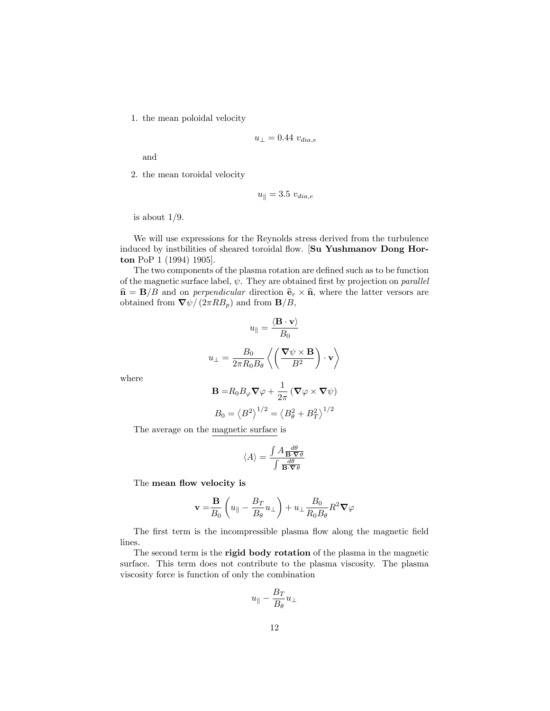1. the mean poloidal velocity

$$
u_{\perp} = 0.44 \ v_{dia,e}
$$

and

2. the mean toroidal velocity

$$
u_{\parallel}=3.5~v_{dia,e}
$$

is about  $1/9$ .

We will use expressions for the Reynolds stress derived from the turbulence induced by instbilities of sheared toroidal flow. [Su Yushmanov Dong Horton PoP 1 (1994) 1905].

The two components of the plasma rotation are defined such as to be function of the magnetic surface label,  $\psi$ . They are obtained first by projection on parallel  $\hat{\mathbf{n}} = \mathbf{B}/B$  and on *perpendicular* direction  $\hat{\mathbf{e}}_r \times \hat{\mathbf{n}}$ , where the latter versors are obtained from  $\nabla \psi / (2\pi R B_p)$  and from  $\mathbf{B}/B$ ,

$$
u_{\parallel} = \frac{\langle \mathbf{B} \cdot \mathbf{v} \rangle}{B_0}
$$

$$
u_{\perp} = \frac{B_0}{2\pi R_0 B_\theta} \left\langle \left( \frac{\nabla \psi \times \mathbf{B}}{B^2} \right) \cdot \mathbf{v} \right\rangle
$$

$$
\mathbf{B} = R_0 B_\varphi \nabla \varphi + \frac{1}{2\pi} \left( \nabla \varphi \times \nabla \psi \right)
$$

where

$$
\mathbf{B} = R_0 B_{\varphi} \nabla \varphi + \frac{1}{2\pi} (\nabla \varphi \times \nabla \psi)
$$

$$
B_0 = \langle B^2 \rangle^{1/2} = \langle B_\theta^2 + B_T^2 \rangle^{1/2}
$$

The average on the magnetic surface is

$$
\langle A\rangle = \frac{\int A \frac{d\theta}{\mathbf{B}\cdot\boldsymbol{\nabla}\theta}}{\int \frac{d\theta}{\mathbf{B}\cdot\boldsymbol{\nabla}\theta}}
$$

The mean flow velocity is

$$
\mathbf{v} = \frac{\mathbf{B}}{B_0} \left( u_{\parallel} - \frac{B_T}{B_{\theta}} u_{\perp} \right) + u_{\perp} \frac{B_0}{R_0 B_{\theta}} R^2 \nabla \varphi
$$

The first term is the incompressible plasma flow along the magnetic field lines.

The second term is the rigid body rotation of the plasma in the magnetic surface. This term does not contribute to the plasma viscosity. The plasma viscosity force is function of only the combination

$$
u_\parallel - \frac{B_T}{B_\theta} u_\perp
$$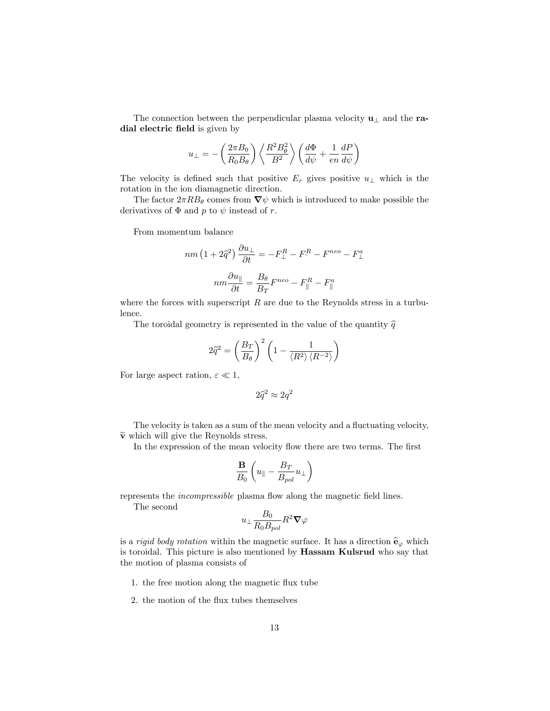The connection between the perpendicular plasma velocity  $\mathbf{u}_{\perp}$  and the radial electric field is given by

$$
u_{\perp} = -\left(\frac{2\pi B_0}{R_0 B_{\theta}}\right) \left\langle \frac{R^2 B_{\theta}^2}{B^2} \right\rangle \left(\frac{d\Phi}{d\psi} + \frac{1}{en} \frac{dP}{d\psi}\right)
$$

The velocity is defined such that positive  $E_r$  gives positive  $u_{\perp}$  which is the rotation in the ion diamagnetic direction.

The factor  $2\pi RB_{\theta}$  comes from  $\nabla \psi$  which is introduced to make possible the derivatives of  $\Phi$  and p to  $\psi$  instead of r.

From momentum balance

$$
nm\left(1+2\hat{q}^{2}\right)\frac{\partial u_{\perp}}{\partial t} = -F_{\perp}^{R} - F_{\perp}^{R} - F^{neo} - F_{\perp}^{a}
$$

$$
nm\frac{\partial u_{\parallel}}{\partial t} = \frac{B_{\theta}}{B_{T}}F^{neo} - F_{\parallel}^{R} - F_{\parallel}^{a}
$$

where the forces with superscript  $R$  are due to the Reynolds stress in a turbulence.

The toroidal geometry is represented in the value of the quantity  $\hat{q}$ 

$$
2\hat{q}^2 = \left(\frac{B_T}{B_\theta}\right)^2 \left(1 - \frac{1}{\langle R^2 \rangle \langle R^{-2} \rangle}\right)
$$

For large aspect ration,  $\varepsilon \ll 1$ ,

$$
2\hat{q}^2 \approx 2q^2
$$

The velocity is taken as a sum of the mean velocity and a fluctuating velocity,  $\widetilde{\mathbf{v}}$  which will give the Reynolds stress.

In the expression of the mean velocity flow there are two terms. The first

$$
\frac{\mathbf{B}}{B_0}\left(u_{\parallel}-\frac{B_T}{B_{pol}}u_{\perp}\right)
$$

represents the *incompressible* plasma flow along the magnetic field lines.

The second

$$
u_\perp\frac{B_0}{R_0B_{pol}}R^2\bm{\nabla}\varphi
$$

is a *rigid body rotation* within the magnetic surface. It has a direction  $\hat{\mathbf{e}}_{\varphi}$  which is toroidal. This picture is also mentioned by Hassam Kulsrud who say that the motion of plasma consists of

- 1. the free motion along the magnetic flux tube
- 2. the motion of the flux tubes themselves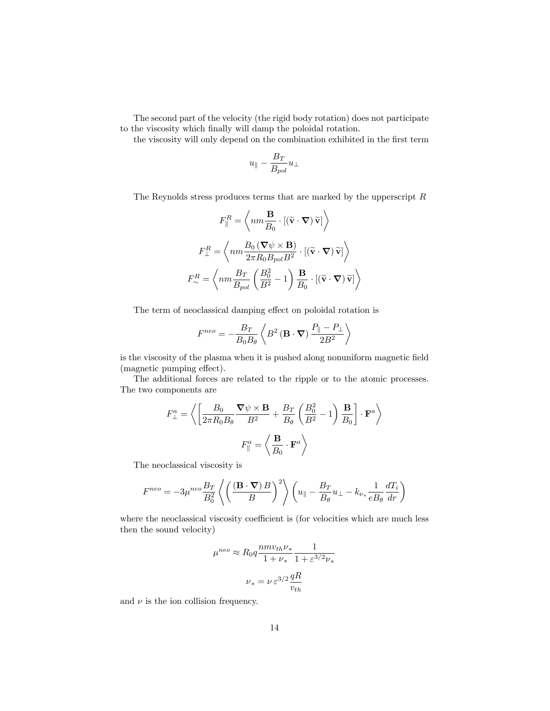The second part of the velocity (the rigid body rotation) does not participate to the viscosity which finally will damp the poloidal rotation.

the viscosity will only depend on the combination exhibited in the first term

$$
u_{\parallel} - \frac{B_T}{B_{pol}} u_{\perp}
$$

The Reynolds stress produces terms that are marked by the upper<br>script  $\cal R$ 

$$
F_{\parallel}^{R} = \left\langle nm \frac{\mathbf{B}}{B_0} \cdot \left[ (\tilde{\mathbf{v}} \cdot \nabla) \tilde{\mathbf{v}} \right] \right\rangle
$$

$$
F_{\perp}^{R} = \left\langle nm \frac{B_0 (\nabla \psi \times \mathbf{B})}{2\pi R_0 B_{pol} B^2} \cdot \left[ (\tilde{\mathbf{v}} \cdot \nabla) \tilde{\mathbf{v}} \right] \right\rangle
$$

$$
F_{\sim}^{R} = \left\langle nm \frac{B_T}{B_{pol}} \left( \frac{B_0^2}{B^2} - 1 \right) \frac{\mathbf{B}}{B_0} \cdot \left[ (\tilde{\mathbf{v}} \cdot \nabla) \tilde{\mathbf{v}} \right] \right\rangle
$$

The term of neoclassical damping effect on poloidal rotation is

$$
F^{neo} = -\frac{B_T}{B_0 B_\theta} \left\langle B^2 \left( \mathbf{B} \cdot \mathbf{\nabla} \right) \frac{P_{\parallel} - P_{\perp}}{2B^2} \right\rangle
$$

is the viscosity of the plasma when it is pushed along nonuniform magnetic field  $(magnetic pumping effect).$ 

The additional forces are related to the ripple or to the atomic processes. The two components are

$$
F_{\perp}^{a} = \left\langle \left[ \frac{B_{0}}{2\pi R_{0}B_{\theta}} \frac{\nabla \psi \times \mathbf{B}}{B^{2}} + \frac{B_{T}}{B_{\theta}} \left( \frac{B_{0}^{2}}{B^{2}} - 1 \right) \frac{\mathbf{B}}{B_{0}} \right] \cdot \mathbf{F}^{a} \right\rangle
$$

$$
F_{\parallel}^{a} = \left\langle \frac{\mathbf{B}}{B_{0}} \cdot \mathbf{F}^{a} \right\rangle
$$

The neoclassical viscosity is

$$
F^{neo} = -3\mu^{neo} \frac{B_T}{B_0^2} \left\langle \left(\frac{(\mathbf{B} \cdot \nabla) B}{B}\right)^2 \right\rangle \left(u_{\parallel} - \frac{B_T}{B_{\theta}} u_{\perp} - k_{\nu_*} \frac{1}{e B_{\theta}} \frac{dT_i}{dr}\right)
$$

where the neoclassical viscosity coefficient is (for velocities which are much less then the sound velocity)

$$
\mu^{neo} \approx R_0 q \frac{nm v_{th} \nu_*}{1+\nu_*} \frac{1}{1+\varepsilon^{3/2} \nu_*}
$$
  

$$
\nu_* = \nu \varepsilon^{3/2} \frac{qR}{v_{th}}
$$

and  $\nu$  is the ion collision frequency.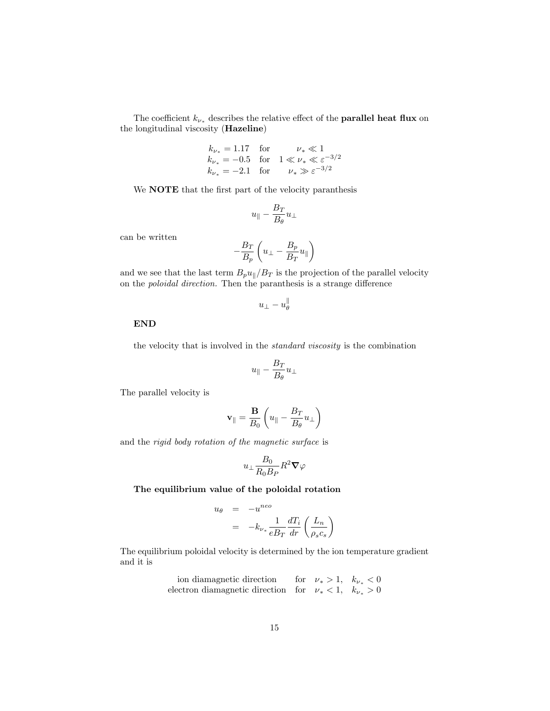The coefficient  $k_{\nu_\ast}$  describes the relative effect of the **parallel heat flux** on the longitudinal viscosity (Hazeline)

$$
k_{\nu_*} = 1.17
$$
 for  $\nu_* \ll 1$   
\n $k_{\nu_*} = -0.5$  for  $1 \ll \nu_* \ll \varepsilon^{-3/2}$   
\n $k_{\nu_*} = -2.1$  for  $\nu_* \gg \varepsilon^{-3/2}$ 

We **NOTE** that the first part of the velocity paranthesis

$$
u_{\parallel}-\frac{B_T}{B_\theta}u_{\perp}
$$

can be written

$$
-\frac{B_T}{B_p}\left(u_\perp - \frac{B_p}{B_T}u_\parallel\right)
$$

and we see that the last term  $B_p u_{\parallel}/B_T$  is the projection of the parallel velocity on the *poloidal direction*. Then the paranthesis is a strange difference

$$
u_\perp-u_\theta^\parallel
$$

### END

the velocity that is involved in the standard viscosity is the combination

$$
u_\parallel - \frac{B_T}{B_\theta} u_\perp
$$

The parallel velocity is

$$
\mathbf{v}_{\parallel} = \frac{\mathbf{B}}{B_0} \left( u_{\parallel} - \frac{B_T}{B_{\theta}} u_{\perp} \right)
$$

and the rigid body rotation of the magnetic surface is

$$
u_\perp \frac{B_0}{R_0 B_P} R^2 \boldsymbol{\nabla} \varphi
$$

### The equilibrium value of the poloidal rotation

$$
u_{\theta} = -u^{neo}
$$
  
=  $-k_{\nu_{*}} \frac{1}{eB_{T}} \frac{dT_{i}}{dr} \left(\frac{L_{n}}{\rho_{s} c_{s}}\right)$ 

The equilibrium poloidal velocity is determined by the ion temperature gradient and it is

\n in diamagnetic direction for 
$$
\nu_* > 1
$$
,  $k_{\nu_*} < 0$ ,   
\n electron diamagnetic direction for  $\nu_* < 1$ ,  $k_{\nu_*} > 0$ \n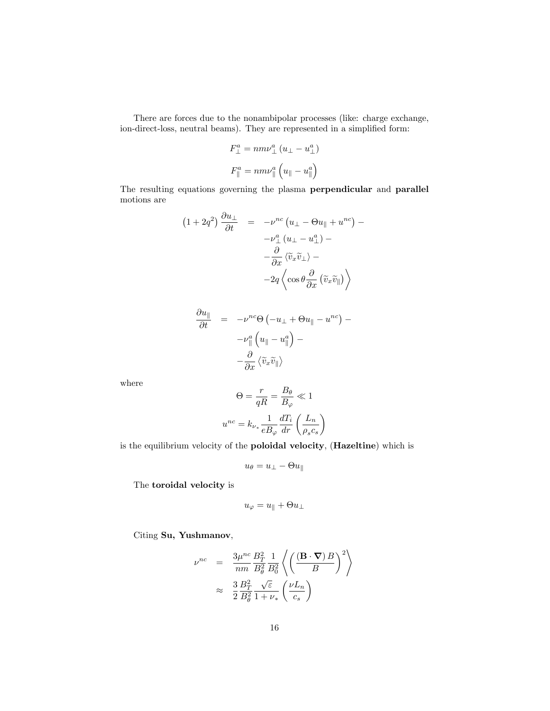There are forces due to the nonambipolar processes (like: charge exchange, ion-direct-loss, neutral beams). They are represented in a simplified form:

$$
F_{\perp}^{a} = nm\nu_{\perp}^{a} (u_{\perp} - u_{\perp}^{a})
$$

$$
F_{\parallel}^{a} = nm\nu_{\parallel}^{a} (u_{\parallel} - u_{\parallel}^{a})
$$

The resulting equations governing the plasma perpendicular and parallel motions are

$$
(1+2q^2)\frac{\partial u_{\perp}}{\partial t} = -\nu^{nc} (u_{\perp} - \Theta u_{\parallel} + u^{nc}) -
$$

$$
-\nu_{\perp}^a (u_{\perp} - u_{\perp}^a) -
$$

$$
-\frac{\partial}{\partial x} \langle \tilde{v}_x \tilde{v}_{\perp} \rangle -
$$

$$
-2q \left\langle \cos \theta \frac{\partial}{\partial x} (\tilde{v}_x \tilde{v}_{\parallel}) \right\rangle
$$

$$
\frac{\partial u_{\parallel}}{\partial t} = -\nu^{nc} \Theta \left( -u_{\perp} + \Theta u_{\parallel} - u^{nc} \right) -
$$

$$
-\nu_{\parallel}^{a} \left( u_{\parallel} - u_{\parallel}^{a} \right) -
$$

$$
-\frac{\partial}{\partial x} \left\langle \tilde{v}_{x} \tilde{v}_{\parallel} \right\rangle
$$

where

$$
\Theta = \frac{r}{qR} = \frac{B_{\theta}}{B_{\varphi}} \ll 1
$$

$$
u^{nc} = k_{\nu_{*}} \frac{1}{eB_{\varphi}} \frac{dT_{i}}{dr} \left(\frac{L_{n}}{\rho_{s} c_{s}}\right)
$$

is the equilibrium velocity of the poloidal velocity, (Hazeltine) which is

$$
u_{\theta} = u_{\perp} - \Theta u_{\parallel}
$$

The toroidal velocity is

$$
u_\varphi=u_\parallel+\Theta u_\perp
$$

Citing Su, Yushmanov,

$$
\begin{array}{rcl} \nu^{nc} & = & \displaystyle{\frac{3\mu^{nc}}{nm}\frac{B_T^2}{B_\theta^2}\frac{1}{B_0^2}\left\langle\left(\frac{(\mathbf{B}\cdot\boldsymbol{\nabla})\,B}{B}\right)^2\right\rangle}\\[10pt] & \approx & \displaystyle{\frac{3}{2}\frac{B_T^2}{B_\theta^2}\frac{\sqrt{\varepsilon}}{1+\nu_*}\left(\frac{\nu L_n}{c_s}\right)} \end{array}
$$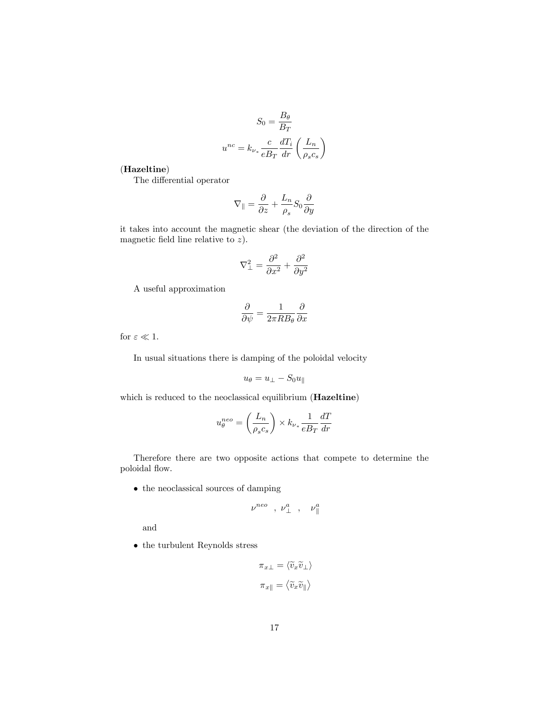$$
S_0 = \frac{B_{\theta}}{B_T}
$$

$$
u^{nc} = k_{\nu_*} \frac{c}{e B_T} \frac{dT_i}{dr} \left(\frac{L_n}{\rho_s c_s}\right)
$$

### (Hazeltine)

The differential operator

$$
\nabla_{\parallel} = \frac{\partial}{\partial z} + \frac{L_n}{\rho_s} S_0 \frac{\partial}{\partial y}
$$

it takes into account the magnetic shear (the deviation of the direction of the magnetic field line relative to  $z$ ).

$$
\nabla_{\perp}^2 = \frac{\partial^2}{\partial x^2} + \frac{\partial^2}{\partial y^2}
$$

A useful approximation

$$
\frac{\partial}{\partial \psi} = \frac{1}{2\pi R B_{\theta}} \frac{\partial}{\partial x}
$$

for  $\varepsilon \ll 1$ .

In usual situations there is damping of the poloidal velocity

$$
u_{\theta} = u_{\perp} - S_0 u_{\parallel}
$$

which is reduced to the neoclassical equilibrium (Hazeltine)

$$
u_{\theta}^{neo} = \left(\frac{L_n}{\rho_s c_s}\right) \times k_{\nu_*} \frac{1}{eB_T} \frac{dT}{dr}
$$

Therefore there are two opposite actions that compete to determine the poloidal flow.

the neoclassical sources of damping

$$
\nu^{neo} \ ,\ \nu_{\perp}^{a} \ ,\quad \nu_{\parallel}^{a}
$$

and

 $\bullet\,$  the turbulent Reynolds stress

$$
\pi_{x\perp} = \langle \widetilde{v}_x \widetilde{v}_\perp \rangle
$$

$$
\pi_{x\parallel} = \langle \widetilde{v}_x \widetilde{v}_\parallel \rangle
$$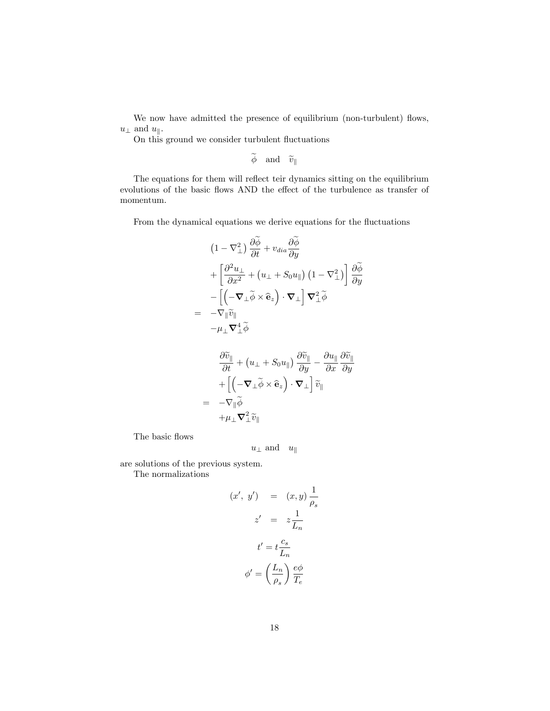We now have admitted the presence of equilibrium (non-turbulent) flows,  $u_{\perp}$  and  $u_{\parallel}$ .

On this ground we consider turbulent fluctuations

 $\widetilde{\phi} \quad \text{and} \quad \widetilde{v}_{\parallel}$ 

The equations for them will reflect teir dynamics sitting on the equilibrium evolutions of the basic flows AND the effect of the turbulence as transfer of momentum.

From the dynamical equations we derive equations for the fluctuations

$$
(1 - \nabla^2_{\perp}) \frac{\partial \widetilde{\phi}}{\partial t} + v_{dia} \frac{\partial \widetilde{\phi}}{\partial y}
$$
  
+ 
$$
\left[ \frac{\partial^2 u_{\perp}}{\partial x^2} + (u_{\perp} + S_0 u_{\parallel}) (1 - \nabla^2_{\perp}) \right] \frac{\partial \widetilde{\phi}}{\partial y}
$$
  
- 
$$
\left[ \left( -\nabla_{\perp} \widetilde{\phi} \times \widehat{\mathbf{e}}_z \right) \cdot \nabla_{\perp} \right] \nabla^2_{\perp} \widetilde{\phi}
$$
  
= 
$$
-\nabla_{\parallel} \widetilde{v}_{\parallel}
$$
  

$$
-\mu_{\perp} \nabla^4_{\perp} \widetilde{\phi}
$$
  

$$
\frac{\partial \widetilde{v}_{\parallel}}{\partial t} + (u_{\perp} + S_0 u_{\parallel}) \frac{\partial \widetilde{v}_{\parallel}}{\partial y} - \frac{\partial u_{\parallel}}{\partial x} \frac{\partial \widetilde{v}_{\parallel}}{\partial y}
$$
  
+ 
$$
\left[ \left( -\nabla_{\perp} \widetilde{\phi} \times \widehat{\mathbf{e}}_z \right) \cdot \nabla_{\perp} \right] \widetilde{v}_{\parallel}
$$
  
= 
$$
-\nabla_{\parallel} \widetilde{\phi}
$$
  
+ 
$$
\mu_{\perp} \nabla^2_{\perp} \widetilde{v}_{\parallel}
$$

The basic flows

 $u_{\perp}$  and  $u_{\parallel}$ 

are solutions of the previous system.

The normalizations

$$
(x', y') = (x, y) \frac{1}{\rho_s}
$$

$$
z' = z \frac{1}{L_n}
$$

$$
t' = t \frac{c_s}{L_n}
$$

$$
\phi' = \left(\frac{L_n}{\rho_s}\right) \frac{e\phi}{T_e}
$$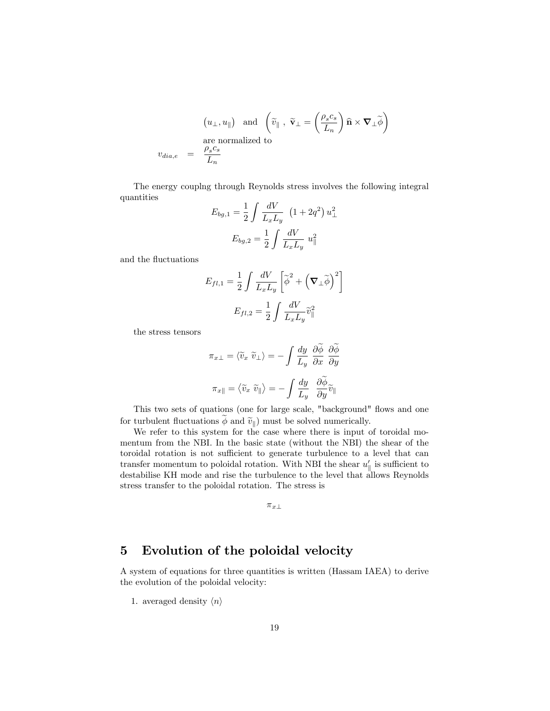$$
\begin{array}{rcl} \left(u_\perp,u_\parallel\right) \ \ \hbox{and} \ \ \left(\widetilde{v}_\parallel \ , \ \widetilde{\mathbf{v}}_\perp=\left(\dfrac{\rho_s c_s}{L_n}\right)\widehat{\mathbf{n}}\times\boldsymbol{\nabla}_\perp\widetilde{\boldsymbol{\phi}}\right) \\ \hbox{are normalized to} \\ v_{dia,e} &=&\dfrac{\rho_s c_s}{L_n} \end{array}
$$

The energy couplng through Reynolds stress involves the following integral quantities

$$
E_{bg,1} = \frac{1}{2} \int \frac{dV}{L_x L_y} (1 + 2q^2) u_{\perp}^2
$$

$$
E_{bg,2} = \frac{1}{2} \int \frac{dV}{L_x L_y} u_{\parallel}^2
$$

and the fluctuations

$$
E_{fl,1} = \frac{1}{2} \int \frac{dV}{L_x L_y} \left[ \tilde{\boldsymbol{\phi}}^2 + \left( \boldsymbol{\nabla}_{\perp} \tilde{\boldsymbol{\phi}} \right)^2 \right]
$$

$$
E_{fl,2} = \frac{1}{2} \int \frac{dV}{L_x L_y} \tilde{v}_{\parallel}^2
$$

the stress tensors

$$
\pi_{x\perp} = \langle \widetilde{v}_x \ \widetilde{v}_\perp \rangle = -\int \frac{dy}{L_y} \ \frac{\partial \phi}{\partial x} \ \frac{\partial \phi}{\partial y}
$$

$$
\pi_{x\parallel} = \langle \widetilde{v}_x \ \widetilde{v}_{\parallel} \rangle = -\int \frac{dy}{L_y} \ \frac{\partial \widetilde{\phi}}{\partial y} \widetilde{v}_{\parallel}
$$

This two sets of quations (one for large scale, "background" flows and one for turbulent fluctuations  $\phi$  and  $\tilde{v}_{\parallel}$ ) must be solved numerically.

We refer to this system for the case where there is input of toroidal momentum from the NBI. In the basic state (without the NBI) the shear of the toroidal rotation is not sufficient to generate turbulence to a level that can transfer momentum to poloidal rotation. With NBI the shear  $u'_{\parallel}$  is sufficient to destabilise KH mode and rise the turbulence to the level that allows Reynolds stress transfer to the poloidal rotation. The stress is

 $\pi_{x\perp}$ 

## 5 Evolution of the poloidal velocity

A system of equations for three quantities is written (Hassam IAEA) to derive the evolution of the poloidal velocity:

1. averaged density  $\langle n \rangle$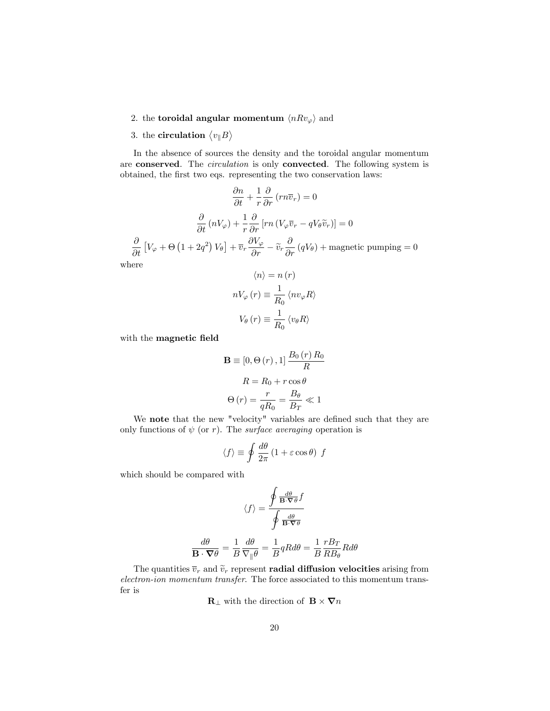2. the **toroidal angular momentum**  $\langle nRv_{\varphi} \rangle$  and

# 3. the **circulation**  $\langle v_{\parallel}B \rangle$

In the absence of sources the density and the toroidal angular momentum are conserved. The *circulation* is only convected. The following system is obtained, the first two eqs. representing the two conservation laws:

$$
\frac{\partial n}{\partial t} + \frac{1}{r} \frac{\partial}{\partial r} (r n \overline{v}_r) = 0
$$

$$
\frac{\partial}{\partial t} (nV_{\varphi}) + \frac{1}{r} \frac{\partial}{\partial r} [r n (V_{\varphi} \overline{v}_r - q V_{\theta} \widetilde{v}_r)] = 0
$$

$$
\frac{\partial}{\partial t} [V_{\varphi} + \Theta (1 + 2q^2) V_{\theta}] + \overline{v}_r \frac{\partial V_{\varphi}}{\partial r} - \widetilde{v}_r \frac{\partial}{\partial r} (q V_{\theta}) + \text{magnetic pumping} = 0
$$
here
$$
\langle n \rangle = n(r)
$$

wh

$$
nV_{\varphi}(r) \equiv \frac{1}{R_0} \langle nv_{\varphi}R \rangle
$$
  

$$
V_{\theta}(r) \equiv \frac{1}{R_0} \langle v_{\theta}R \rangle
$$

with the magnetic field

$$
\mathbf{B} \equiv [0, \Theta(r), 1] \frac{B_0(r) R_0}{R}
$$

$$
R = R_0 + r \cos \theta
$$

$$
\Theta(r) = \frac{r}{qR_0} = \frac{B_\theta}{B_T} \ll 1
$$

We note that the new "velocity" variables are defined such that they are only functions of  $\psi$  (or r). The *surface averaging* operation is

$$
\langle f \rangle \equiv \oint \frac{d\theta}{2\pi} \left( 1 + \varepsilon \cos \theta \right) f
$$

which should be compared with

$$
\langle f \rangle = \frac{\oint \frac{d\theta}{\mathbf{B} \cdot \nabla \theta} f}{\oint \frac{d\theta}{\mathbf{B} \cdot \nabla \theta}}
$$

$$
\frac{d\theta}{\mathbf{B} \cdot \nabla \theta} = \frac{1}{B} \frac{d\theta}{\nabla_{\parallel} \theta} = \frac{1}{B} qR d\theta = \frac{1}{B} \frac{rB_T}{RB_\theta} R d\theta
$$

The quantities  $\overline{v}_r$  and  $\widetilde{v}_r$  represent **radial diffusion velocities** arising from electron-ion momentum transfer. The force associated to this momentum transfer is

 $\mathbf{R}_{\perp}$  with the direction of  $\mathbf{B} \times \nabla n$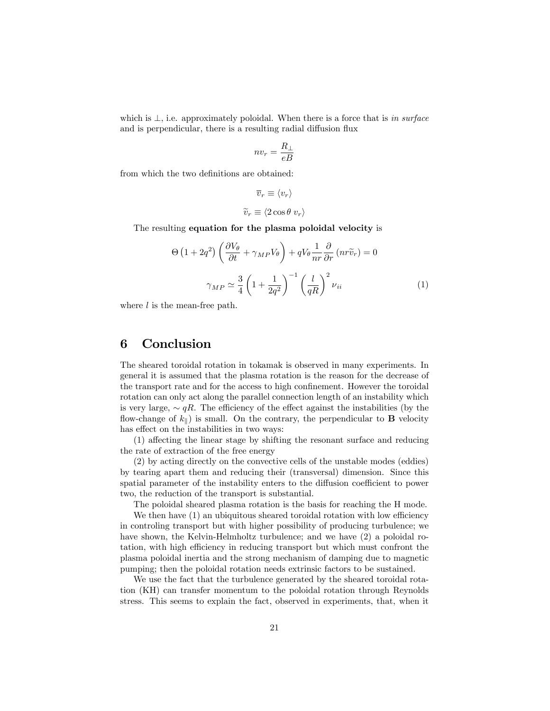which is  $\perp$ , i.e. approximately poloidal. When there is a force that is in surface and is perpendicular, there is a resulting radial diffusion flux

$$
nv_r = \frac{R_\perp}{eB}
$$

from which the two definitions are obtained:

$$
\overline{v}_r \equiv \langle v_r \rangle
$$
  

$$
\widetilde{v}_r \equiv \langle 2 \cos \theta \ v_r \rangle
$$

The resulting equation for the plasma poloidal velocity is

$$
\Theta \left( 1 + 2q^2 \right) \left( \frac{\partial V_{\theta}}{\partial t} + \gamma_{MP} V_{\theta} \right) + q V_{\theta} \frac{1}{n r} \frac{\partial}{\partial r} \left( n r \tilde{v}_r \right) = 0
$$

$$
\gamma_{MP} \simeq \frac{3}{4} \left( 1 + \frac{1}{2q^2} \right)^{-1} \left( \frac{l}{qR} \right)^2 \nu_{ii} \tag{1}
$$

where  $l$  is the mean-free path.

### 6 Conclusion

The sheared toroidal rotation in tokamak is observed in many experiments. In general it is assumed that the plasma rotation is the reason for the decrease of the transport rate and for the access to high confinement. However the toroidal rotation can only act along the parallel connection length of an instability which is very large,  $\sim qR$ . The efficiency of the effect against the instabilities (by the flow-change of  $k_{\parallel}$ ) is small. On the contrary, the perpendicular to **B** velocity has effect on the instabilities in two ways:

 $(1)$  affecting the linear stage by shifting the resonant surface and reducing the rate of extraction of the free energy

(2) by acting directly on the convective cells of the unstable modes (eddies) by tearing apart them and reducing their (transversal) dimension. Since this spatial parameter of the instability enters to the diffusion coefficient to power two, the reduction of the transport is substantial.

The poloidal sheared plasma rotation is the basis for reaching the H mode.

We then have  $(1)$  an ubiquitous sheared toroidal rotation with low efficiency in controling transport but with higher possibility of producing turbulence; we have shown, the Kelvin-Helmholtz turbulence; and we have  $(2)$  a poloidal rotation, with high efficiency in reducing transport but which must confront the plasma poloidal inertia and the strong mechanism of damping due to magnetic pumping; then the poloidal rotation needs extrinsic factors to be sustained.

We use the fact that the turbulence generated by the sheared toroidal rotation (KH) can transfer momentum to the poloidal rotation through Reynolds stress. This seems to explain the fact, observed in experiments, that, when it